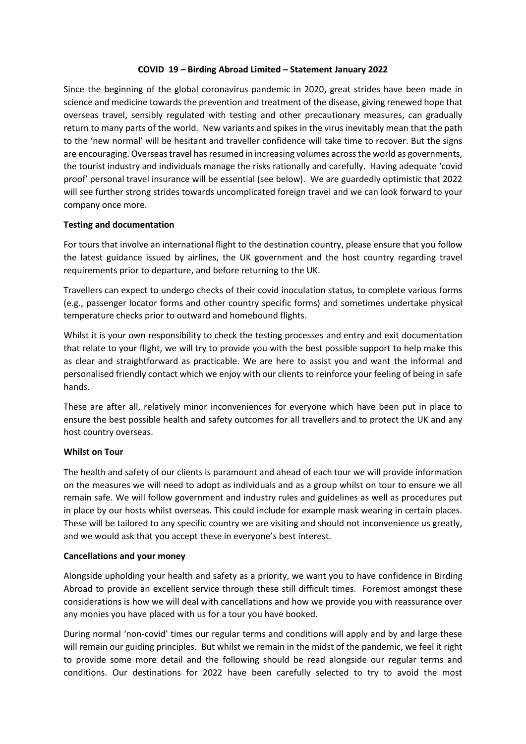### **COVID 19 – Birding Abroad Limited – Statement January 2022**

Since the beginning of the global coronavirus pandemic in 2020, great strides have been made in science and medicine towards the prevention and treatment of the disease, giving renewed hope that overseas travel, sensibly regulated with testing and other precautionary measures, can gradually return to many parts of the world. New variants and spikes in the virus inevitably mean that the path to the 'new normal' will be hesitant and traveller confidence will take time to recover. But the signs are encouraging. Overseas travel has resumed in increasing volumes across the world as governments, the tourist industry and individuals manage the risks rationally and carefully. Having adequate 'covid proof' personal travel insurance will be essential (see below). We are guardedly optimistic that 2022 will see further strong strides towards uncomplicated foreign travel and we can look forward to your company once more.

### **Testing and documentation**

For tours that involve an international flight to the destination country, please ensure that you follow the latest guidance issued by airlines, the UK government and the host country regarding travel requirements prior to departure, and before returning to the UK.

Travellers can expect to undergo checks of their covid inoculation status, to complete various forms (e.g., passenger locator forms and other country specific forms) and sometimes undertake physical temperature checks prior to outward and homebound flights.

Whilst it is your own responsibility to check the testing processes and entry and exit documentation that relate to your flight, we will try to provide you with the best possible support to help make this as clear and straightforward as practicable. We are here to assist you and want the informal and personalised friendly contact which we enjoy with our clients to reinforce your feeling of being in safe hands.

These are after all, relatively minor inconveniences for everyone which have been put in place to ensure the best possible health and safety outcomes for all travellers and to protect the UK and any host country overseas.

### **Whilst on Tour**

The health and safety of our clients is paramount and ahead of each tour we will provide information on the measures we will need to adopt as individuals and as a group whilst on tour to ensure we all remain safe. We will follow government and industry rules and guidelines as well as procedures put in place by our hosts whilst overseas. This could include for example mask wearing in certain places. These will be tailored to any specific country we are visiting and should not inconvenience us greatly, and we would ask that you accept these in everyone's best interest.

### **Cancellations and your money**

Alongside upholding your health and safety as a priority, we want you to have confidence in Birding Abroad to provide an excellent service through these still difficult times. Foremost amongst these considerations is how we will deal with cancellations and how we provide you with reassurance over any monies you have placed with us for a tour you have booked.

During normal 'non-covid' times our regular terms and conditions will apply and by and large these will remain our guiding principles. But whilst we remain in the midst of the pandemic, we feel it right to provide some more detail and the following should be read alongside our regular terms and conditions. Our destinations for 2022 have been carefully selected to try to avoid the most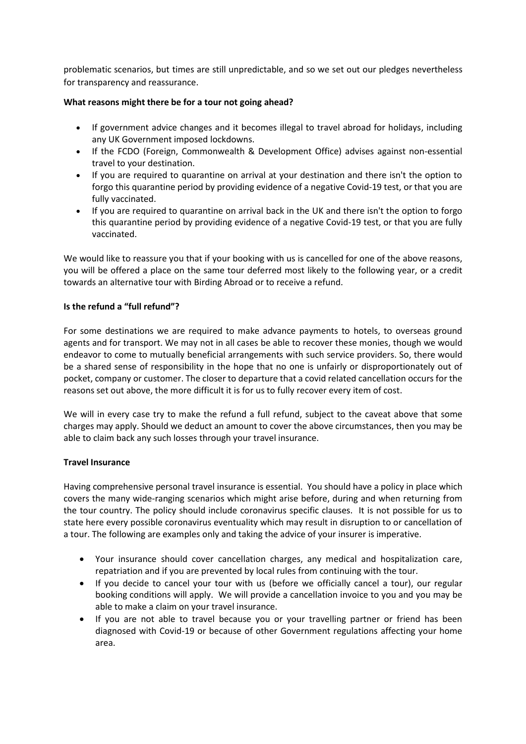problematic scenarios, but times are still unpredictable, and so we set out our pledges nevertheless for transparency and reassurance.

# **What reasons might there be for a tour not going ahead?**

- If government advice changes and it becomes illegal to travel abroad for holidays, including any UK Government imposed lockdowns.
- If the FCDO (Foreign, Commonwealth & Development Office) advises against non-essential travel to your destination.
- If you are required to quarantine on arrival at your destination and there isn't the option to forgo this quarantine period by providing evidence of a negative Covid-19 test, or that you are fully vaccinated.
- If you are required to quarantine on arrival back in the UK and there isn't the option to forgo this quarantine period by providing evidence of a negative Covid-19 test, or that you are fully vaccinated.

We would like to reassure you that if your booking with us is cancelled for one of the above reasons, you will be offered a place on the same tour deferred most likely to the following year, or a credit towards an alternative tour with Birding Abroad or to receive a refund.

## **Is the refund a "full refund"?**

For some destinations we are required to make advance payments to hotels, to overseas ground agents and for transport. We may not in all cases be able to recover these monies, though we would endeavor to come to mutually beneficial arrangements with such service providers. So, there would be a shared sense of responsibility in the hope that no one is unfairly or disproportionately out of pocket, company or customer. The closer to departure that a covid related cancellation occurs for the reasons set out above, the more difficult it is for us to fully recover every item of cost.

We will in every case try to make the refund a full refund, subject to the caveat above that some charges may apply. Should we deduct an amount to cover the above circumstances, then you may be able to claim back any such losses through your travel insurance.

### **Travel Insurance**

Having comprehensive personal travel insurance is essential. You should have a policy in place which covers the many wide-ranging scenarios which might arise before, during and when returning from the tour country. The policy should include coronavirus specific clauses. It is not possible for us to state here every possible coronavirus eventuality which may result in disruption to or cancellation of a tour. The following are examples only and taking the advice of your insurer is imperative.

- Your insurance should cover cancellation charges, any medical and hospitalization care, repatriation and if you are prevented by local rules from continuing with the tour.
- If you decide to cancel your tour with us (before we officially cancel a tour), our regular booking conditions will apply. We will provide a cancellation invoice to you and you may be able to make a claim on your travel insurance.
- If you are not able to travel because you or your travelling partner or friend has been diagnosed with Covid-19 or because of other Government regulations affecting your home area.